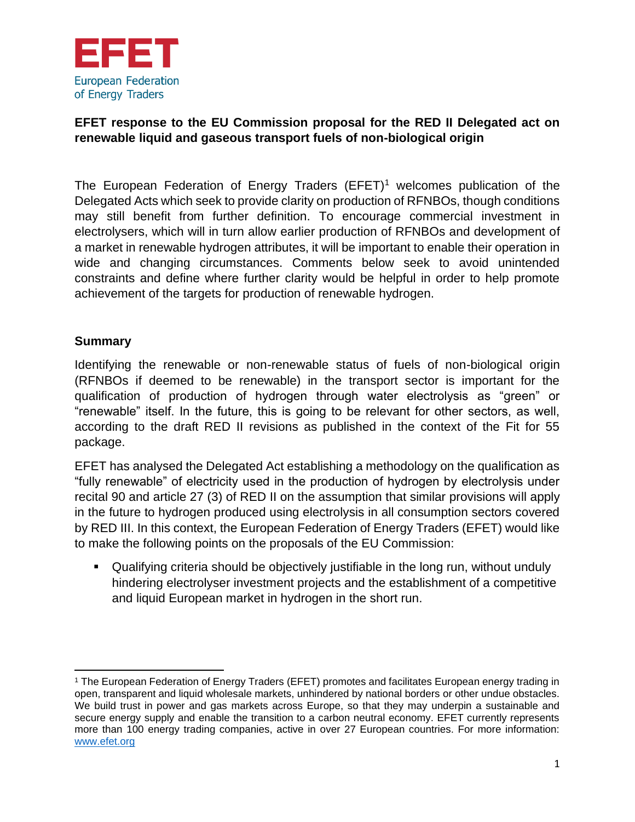

# **EFET response to the EU Commission proposal for the RED II Delegated act on renewable liquid and gaseous transport fuels of non-biological origin**

The European Federation of Energy Traders  $(EFET)^1$  welcomes publication of the Delegated Acts which seek to provide clarity on production of RFNBOs, though conditions may still benefit from further definition. To encourage commercial investment in electrolysers, which will in turn allow earlier production of RFNBOs and development of a market in renewable hydrogen attributes, it will be important to enable their operation in wide and changing circumstances. Comments below seek to avoid unintended constraints and define where further clarity would be helpful in order to help promote achievement of the targets for production of renewable hydrogen.

## **Summary**

Identifying the renewable or non-renewable status of fuels of non-biological origin (RFNBOs if deemed to be renewable) in the transport sector is important for the qualification of production of hydrogen through water electrolysis as "green" or "renewable" itself. In the future, this is going to be relevant for other sectors, as well, according to the draft RED II revisions as published in the context of the Fit for 55 package.

EFET has analysed the Delegated Act establishing a methodology on the qualification as "fully renewable" of electricity used in the production of hydrogen by electrolysis under recital 90 and article 27 (3) of RED II on the assumption that similar provisions will apply in the future to hydrogen produced using electrolysis in all consumption sectors covered by RED III. In this context, the European Federation of Energy Traders (EFET) would like to make the following points on the proposals of the EU Commission:

▪ Qualifying criteria should be objectively justifiable in the long run, without unduly hindering electrolyser investment projects and the establishment of a competitive and liquid European market in hydrogen in the short run.

<sup>1</sup> The European Federation of Energy Traders (EFET) promotes and facilitates European energy trading in open, transparent and liquid wholesale markets, unhindered by national borders or other undue obstacles. We build trust in power and gas markets across Europe, so that they may underpin a sustainable and secure energy supply and enable the transition to a carbon neutral economy. EFET currently represents more than 100 energy trading companies, active in over 27 European countries. For more information: [www.efet.org](http://www.efet.org/)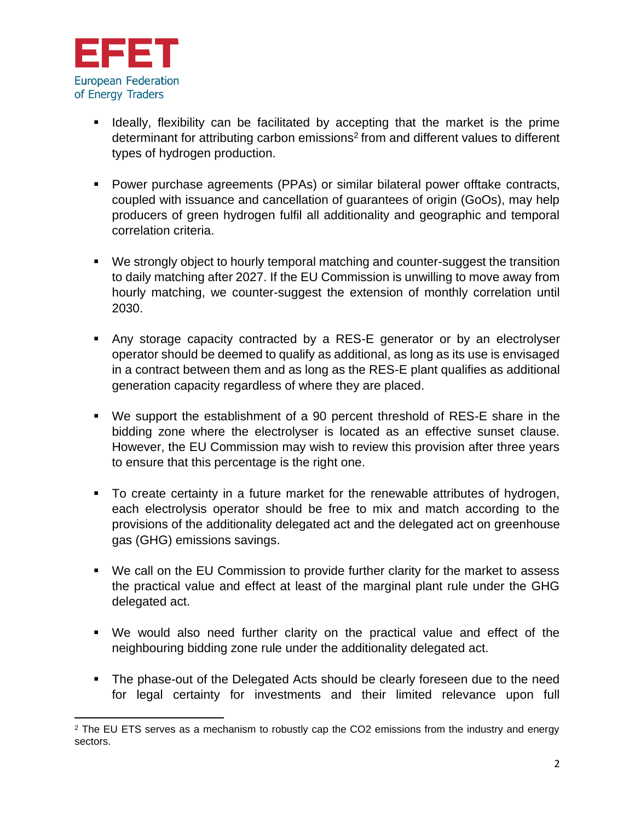

- Ideally, flexibility can be facilitated by accepting that the market is the prime determinant for attributing carbon emissions<sup>2</sup> from and different values to different types of hydrogen production.
- Power purchase agreements (PPAs) or similar bilateral power offtake contracts, coupled with issuance and cancellation of guarantees of origin (GoOs), may help producers of green hydrogen fulfil all additionality and geographic and temporal correlation criteria.
- We strongly object to hourly temporal matching and counter-suggest the transition to daily matching after 2027. If the EU Commission is unwilling to move away from hourly matching, we counter-suggest the extension of monthly correlation until 2030.
- Any storage capacity contracted by a RES-E generator or by an electrolyser operator should be deemed to qualify as additional, as long as its use is envisaged in a contract between them and as long as the RES-E plant qualifies as additional generation capacity regardless of where they are placed.
- We support the establishment of a 90 percent threshold of RES-E share in the bidding zone where the electrolyser is located as an effective sunset clause. However, the EU Commission may wish to review this provision after three years to ensure that this percentage is the right one.
- To create certainty in a future market for the renewable attributes of hydrogen, each electrolysis operator should be free to mix and match according to the provisions of the additionality delegated act and the delegated act on greenhouse gas (GHG) emissions savings.
- We call on the EU Commission to provide further clarity for the market to assess the practical value and effect at least of the marginal plant rule under the GHG delegated act.
- We would also need further clarity on the practical value and effect of the neighbouring bidding zone rule under the additionality delegated act.
- The phase-out of the Delegated Acts should be clearly foreseen due to the need for legal certainty for investments and their limited relevance upon full

 $2$  The EU ETS serves as a mechanism to robustly cap the CO2 emissions from the industry and energy sectors.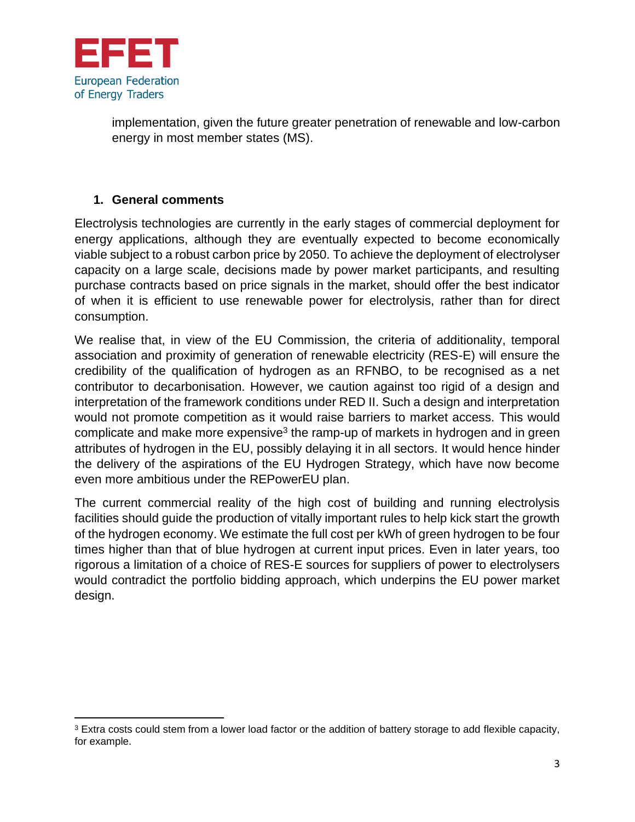

implementation, given the future greater penetration of renewable and low-carbon energy in most member states (MS).

## **1. General comments**

Electrolysis technologies are currently in the early stages of commercial deployment for energy applications, although they are eventually expected to become economically viable subject to a robust carbon price by 2050. To achieve the deployment of electrolyser capacity on a large scale, decisions made by power market participants, and resulting purchase contracts based on price signals in the market, should offer the best indicator of when it is efficient to use renewable power for electrolysis, rather than for direct consumption.

We realise that, in view of the EU Commission, the criteria of additionality, temporal association and proximity of generation of renewable electricity (RES-E) will ensure the credibility of the qualification of hydrogen as an RFNBO, to be recognised as a net contributor to decarbonisation. However, we caution against too rigid of a design and interpretation of the framework conditions under RED II. Such a design and interpretation would not promote competition as it would raise barriers to market access. This would complicate and make more expensive<sup>3</sup> the ramp-up of markets in hydrogen and in green attributes of hydrogen in the EU, possibly delaying it in all sectors. It would hence hinder the delivery of the aspirations of the EU Hydrogen Strategy, which have now become even more ambitious under the REPowerEU plan.

The current commercial reality of the high cost of building and running electrolysis facilities should guide the production of vitally important rules to help kick start the growth of the hydrogen economy. We estimate the full cost per kWh of green hydrogen to be four times higher than that of blue hydrogen at current input prices. Even in later years, too rigorous a limitation of a choice of RES-E sources for suppliers of power to electrolysers would contradict the portfolio bidding approach, which underpins the EU power market design.

<sup>&</sup>lt;sup>3</sup> Extra costs could stem from a lower load factor or the addition of battery storage to add flexible capacity, for example.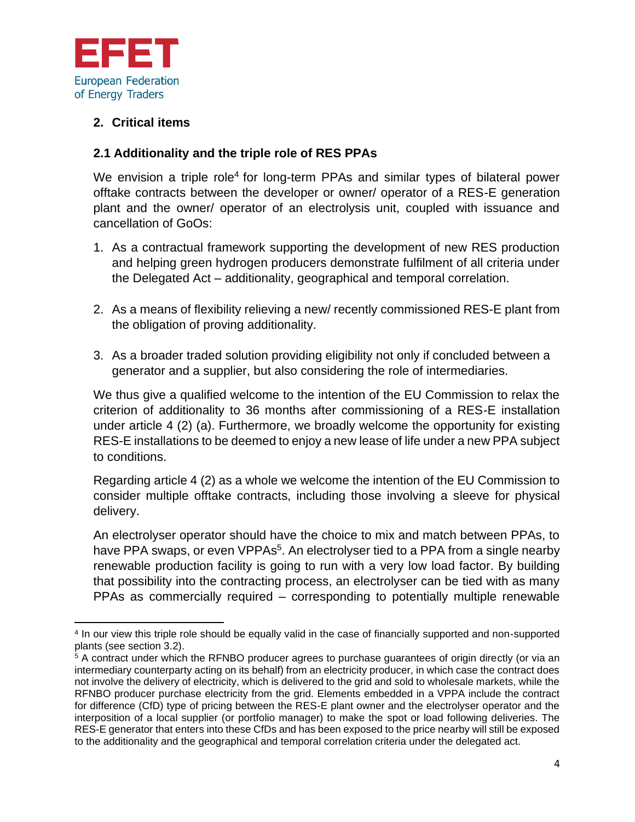

## **2. Critical items**

## **2.1 Additionality and the triple role of RES PPAs**

We envision a triple role<sup>4</sup> for long-term PPAs and similar types of bilateral power offtake contracts between the developer or owner/ operator of a RES-E generation plant and the owner/ operator of an electrolysis unit, coupled with issuance and cancellation of GoOs:

- 1. As a contractual framework supporting the development of new RES production and helping green hydrogen producers demonstrate fulfilment of all criteria under the Delegated Act – additionality, geographical and temporal correlation.
- 2. As a means of flexibility relieving a new/ recently commissioned RES-E plant from the obligation of proving additionality.
- 3. As a broader traded solution providing eligibility not only if concluded between a generator and a supplier, but also considering the role of intermediaries.

We thus give a qualified welcome to the intention of the EU Commission to relax the criterion of additionality to 36 months after commissioning of a RES-E installation under article 4 (2) (a). Furthermore, we broadly welcome the opportunity for existing RES-E installations to be deemed to enjoy a new lease of life under a new PPA subject to conditions.

Regarding article 4 (2) as a whole we welcome the intention of the EU Commission to consider multiple offtake contracts, including those involving a sleeve for physical delivery.

An electrolyser operator should have the choice to mix and match between PPAs, to have PPA swaps, or even VPPAs<sup>5</sup>. An electrolyser tied to a PPA from a single nearby renewable production facility is going to run with a very low load factor. By building that possibility into the contracting process, an electrolyser can be tied with as many PPAs as commercially required – corresponding to potentially multiple renewable

<sup>4</sup> In our view this triple role should be equally valid in the case of financially supported and non-supported plants (see section 3.2).

 $5$  A contract under which the RFNBO producer agrees to purchase guarantees of origin directly (or via an intermediary counterparty acting on its behalf) from an electricity producer, in which case the contract does not involve the delivery of electricity, which is delivered to the grid and sold to wholesale markets, while the RFNBO producer purchase electricity from the grid. Elements embedded in a VPPA include the contract for difference (CfD) type of pricing between the RES-E plant owner and the electrolyser operator and the interposition of a local supplier (or portfolio manager) to make the spot or load following deliveries. The RES-E generator that enters into these CfDs and has been exposed to the price nearby will still be exposed to the additionality and the geographical and temporal correlation criteria under the delegated act.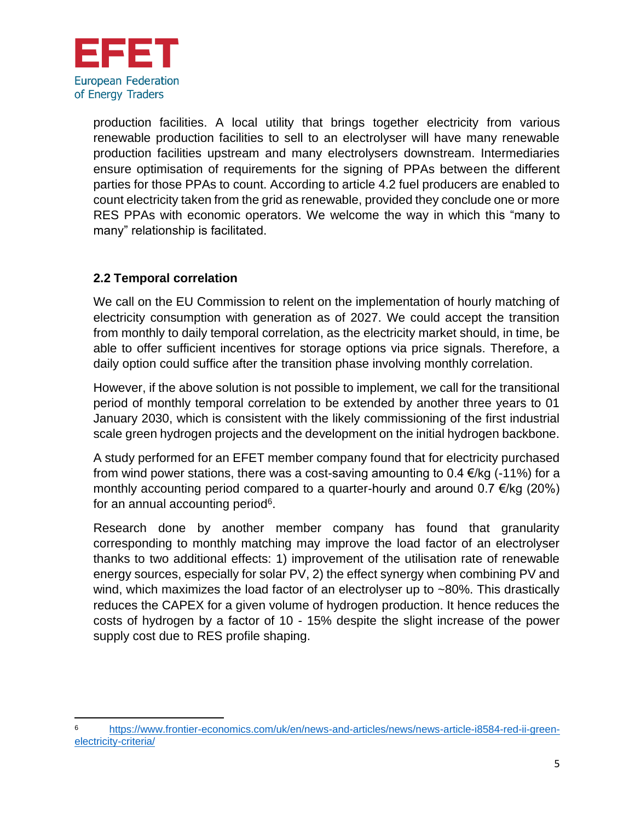

production facilities. A local utility that brings together electricity from various renewable production facilities to sell to an electrolyser will have many renewable production facilities upstream and many electrolysers downstream. Intermediaries ensure optimisation of requirements for the signing of PPAs between the different parties for those PPAs to count. According to article 4.2 fuel producers are enabled to count electricity taken from the grid as renewable, provided they conclude one or more RES PPAs with economic operators. We welcome the way in which this "many to many" relationship is facilitated.

# **2.2 Temporal correlation**

We call on the EU Commission to relent on the implementation of hourly matching of electricity consumption with generation as of 2027. We could accept the transition from monthly to daily temporal correlation, as the electricity market should, in time, be able to offer sufficient incentives for storage options via price signals. Therefore, a daily option could suffice after the transition phase involving monthly correlation.

However, if the above solution is not possible to implement, we call for the transitional period of monthly temporal correlation to be extended by another three years to 01 January 2030, which is consistent with the likely commissioning of the first industrial scale green hydrogen projects and the development on the initial hydrogen backbone.

A study performed for an EFET member company found that for electricity purchased from wind power stations, there was a cost-saving amounting to 0.4  $\epsilon$ /kg (-11%) for a monthly accounting period compared to a quarter-hourly and around  $0.7 \in k$  (20%) for an annual accounting period<sup>6</sup>.

Research done by another member company has found that granularity corresponding to monthly matching may improve the load factor of an electrolyser thanks to two additional effects: 1) improvement of the utilisation rate of renewable energy sources, especially for solar PV, 2) the effect synergy when combining PV and wind, which maximizes the load factor of an electrolyser up to ~80%. This drastically reduces the CAPEX for a given volume of hydrogen production. It hence reduces the costs of hydrogen by a factor of 10 - 15% despite the slight increase of the power supply cost due to RES profile shaping.

<sup>6</sup> [https://www.frontier-economics.com/uk/en/news-and-articles/news/news-article-i8584-red-ii-green](https://www.frontier-economics.com/uk/en/news-and-articles/news/news-article-i8584-red-ii-green-electricity-criteria/)[electricity-criteria/](https://www.frontier-economics.com/uk/en/news-and-articles/news/news-article-i8584-red-ii-green-electricity-criteria/)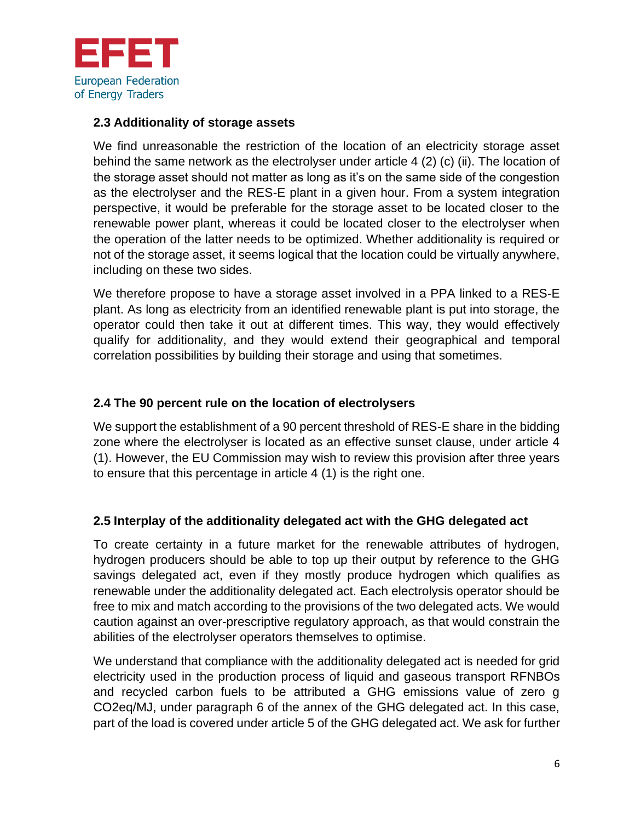

#### **2.3 Additionality of storage assets**

We find unreasonable the restriction of the location of an electricity storage asset behind the same network as the electrolyser under article 4 (2) (c) (ii). The location of the storage asset should not matter as long as it's on the same side of the congestion as the electrolyser and the RES-E plant in a given hour. From a system integration perspective, it would be preferable for the storage asset to be located closer to the renewable power plant, whereas it could be located closer to the electrolyser when the operation of the latter needs to be optimized. Whether additionality is required or not of the storage asset, it seems logical that the location could be virtually anywhere, including on these two sides.

We therefore propose to have a storage asset involved in a PPA linked to a RES-E plant. As long as electricity from an identified renewable plant is put into storage, the operator could then take it out at different times. This way, they would effectively qualify for additionality, and they would extend their geographical and temporal correlation possibilities by building their storage and using that sometimes.

#### **2.4 The 90 percent rule on the location of electrolysers**

We support the establishment of a 90 percent threshold of RES-E share in the bidding zone where the electrolyser is located as an effective sunset clause, under article 4 (1). However, the EU Commission may wish to review this provision after three years to ensure that this percentage in article 4 (1) is the right one.

## **2.5 Interplay of the additionality delegated act with the GHG delegated act**

To create certainty in a future market for the renewable attributes of hydrogen, hydrogen producers should be able to top up their output by reference to the GHG savings delegated act, even if they mostly produce hydrogen which qualifies as renewable under the additionality delegated act. Each electrolysis operator should be free to mix and match according to the provisions of the two delegated acts. We would caution against an over-prescriptive regulatory approach, as that would constrain the abilities of the electrolyser operators themselves to optimise.

We understand that compliance with the additionality delegated act is needed for grid electricity used in the production process of liquid and gaseous transport RFNBOs and recycled carbon fuels to be attributed a GHG emissions value of zero g CO2eq/MJ, under paragraph 6 of the annex of the GHG delegated act. In this case, part of the load is covered under article 5 of the GHG delegated act. We ask for further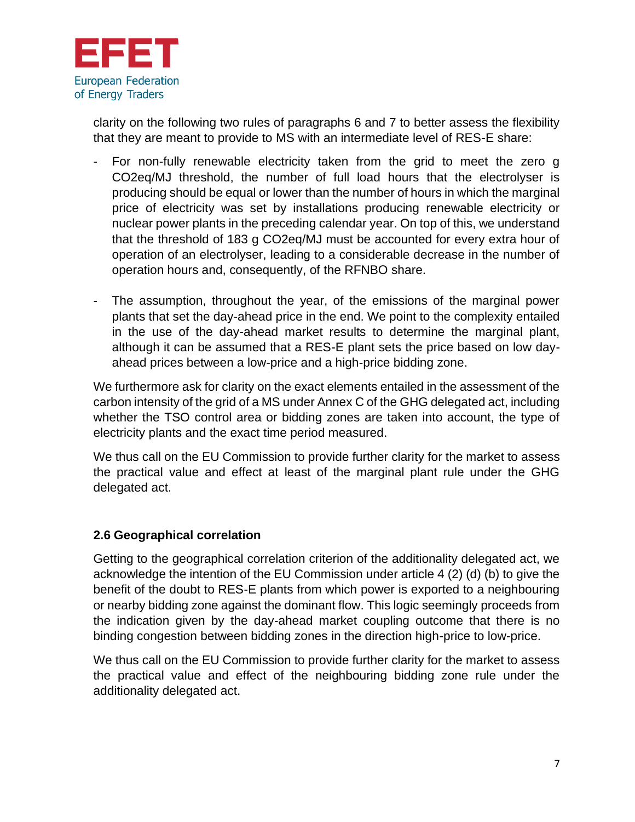

clarity on the following two rules of paragraphs 6 and 7 to better assess the flexibility that they are meant to provide to MS with an intermediate level of RES-E share:

- For non-fully renewable electricity taken from the grid to meet the zero g CO2eq/MJ threshold, the number of full load hours that the electrolyser is producing should be equal or lower than the number of hours in which the marginal price of electricity was set by installations producing renewable electricity or nuclear power plants in the preceding calendar year. On top of this, we understand that the threshold of 183 g CO2eq/MJ must be accounted for every extra hour of operation of an electrolyser, leading to a considerable decrease in the number of operation hours and, consequently, of the RFNBO share.
- The assumption, throughout the year, of the emissions of the marginal power plants that set the day-ahead price in the end. We point to the complexity entailed in the use of the day-ahead market results to determine the marginal plant, although it can be assumed that a RES-E plant sets the price based on low dayahead prices between a low-price and a high-price bidding zone.

We furthermore ask for clarity on the exact elements entailed in the assessment of the carbon intensity of the grid of a MS under Annex C of the GHG delegated act, including whether the TSO control area or bidding zones are taken into account, the type of electricity plants and the exact time period measured.

We thus call on the EU Commission to provide further clarity for the market to assess the practical value and effect at least of the marginal plant rule under the GHG delegated act.

## **2.6 Geographical correlation**

Getting to the geographical correlation criterion of the additionality delegated act, we acknowledge the intention of the EU Commission under article 4 (2) (d) (b) to give the benefit of the doubt to RES-E plants from which power is exported to a neighbouring or nearby bidding zone against the dominant flow. This logic seemingly proceeds from the indication given by the day-ahead market coupling outcome that there is no binding congestion between bidding zones in the direction high-price to low-price.

We thus call on the EU Commission to provide further clarity for the market to assess the practical value and effect of the neighbouring bidding zone rule under the additionality delegated act.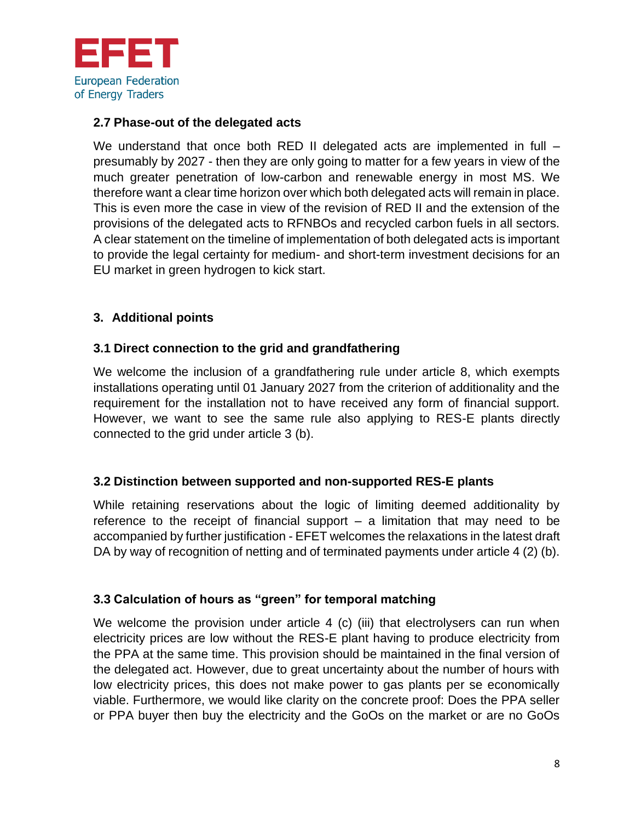

## **2.7 Phase-out of the delegated acts**

We understand that once both RED II delegated acts are implemented in full – presumably by 2027 - then they are only going to matter for a few years in view of the much greater penetration of low-carbon and renewable energy in most MS. We therefore want a clear time horizon over which both delegated acts will remain in place. This is even more the case in view of the revision of RED II and the extension of the provisions of the delegated acts to RFNBOs and recycled carbon fuels in all sectors. A clear statement on the timeline of implementation of both delegated acts is important to provide the legal certainty for medium- and short-term investment decisions for an EU market in green hydrogen to kick start.

# **3. Additional points**

## **3.1 Direct connection to the grid and grandfathering**

We welcome the inclusion of a grandfathering rule under article 8, which exempts installations operating until 01 January 2027 from the criterion of additionality and the requirement for the installation not to have received any form of financial support. However, we want to see the same rule also applying to RES-E plants directly connected to the grid under article 3 (b).

## **3.2 Distinction between supported and non-supported RES-E plants**

While retaining reservations about the logic of limiting deemed additionality by reference to the receipt of financial support – a limitation that may need to be accompanied by further justification - EFET welcomes the relaxations in the latest draft DA by way of recognition of netting and of terminated payments under article 4 (2) (b).

## **3.3 Calculation of hours as "green" for temporal matching**

We welcome the provision under article 4 (c) (iii) that electrolysers can run when electricity prices are low without the RES-E plant having to produce electricity from the PPA at the same time. This provision should be maintained in the final version of the delegated act. However, due to great uncertainty about the number of hours with low electricity prices, this does not make power to gas plants per se economically viable. Furthermore, we would like clarity on the concrete proof: Does the PPA seller or PPA buyer then buy the electricity and the GoOs on the market or are no GoOs